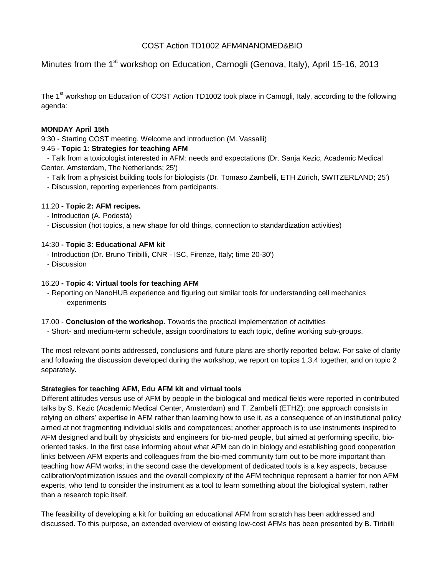# COST Action TD1002 AFM4NANOMED&BIO

Minutes from the 1<sup>st</sup> workshop on Education, Camogli (Genova, Italy), April 15-16, 2013

The 1<sup>st</sup> workshop on Education of COST Action TD1002 took place in Camogli, Italy, according to the following agenda:

### **MONDAY April 15th**

9:30 - Starting COST meeting. Welcome and introduction (M. Vassalli)

## 9.45 **- Topic 1: Strategies for teaching AFM**

 - Talk from a toxicologist interested in AFM: needs and expectations (Dr. Sanja Kezic, Academic Medical Center, Amsterdam, The Netherlands; 25')

- Talk from a physicist building tools for biologists (Dr. Tomaso Zambelli, ETH Zürich, SWITZERLAND; 25')
- Discussion, reporting experiences from participants.

## 11.20 **- Topic 2: AFM recipes.**

- Introduction (A. Podestà)
- Discussion (hot topics, a new shape for old things, connection to standardization activities)

## 14:30 **- Topic 3: Educational AFM kit**

- Introduction (Dr. Bruno Tiribilli, CNR ISC, Firenze, Italy; time 20-30')
- Discussion

## 16.20 **- Topic 4: Virtual tools for teaching AFM**

- Reporting on NanoHUB experience and figuring out similar tools for understanding cell mechanics experiments
- 17.00 **Conclusion of the workshop**. Towards the practical implementation of activities
- Short- and medium-term schedule, assign coordinators to each topic, define working sub-groups.

The most relevant points addressed, conclusions and future plans are shortly reported below. For sake of clarity and following the discussion developed during the workshop, we report on topics 1,3,4 together, and on topic 2 separately.

## **Strategies for teaching AFM, Edu AFM kit and virtual tools**

Different attitudes versus use of AFM by people in the biological and medical fields were reported in contributed talks by S. Kezic (Academic Medical Center, Amsterdam) and T. Zambelli (ETHZ): one approach consists in relying on others' expertise in AFM rather than learning how to use it, as a consequence of an institutional policy aimed at not fragmenting individual skills and competences; another approach is to use instruments inspired to AFM designed and built by physicists and engineers for bio-med people, but aimed at performing specific, biooriented tasks. In the first case informing about what AFM can do in biology and establishing good cooperation links between AFM experts and colleagues from the bio-med community turn out to be more important than teaching how AFM works; in the second case the development of dedicated tools is a key aspects, because calibration/optimization issues and the overall complexity of the AFM technique represent a barrier for non AFM experts, who tend to consider the instrument as a tool to learn something about the biological system, rather than a research topic itself.

The feasibility of developing a kit for building an educational AFM from scratch has been addressed and discussed. To this purpose, an extended overview of existing low-cost AFMs has been presented by B. Tiribilli